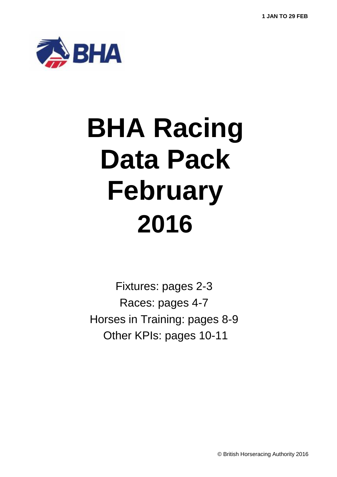

# **BHA Racing Data Pack February 2016**

Fixtures: pages 2-3 Races: pages 4-7 Horses in Training: pages 8-9 Other KPIs: pages 10-11

© British Horseracing Authority 2016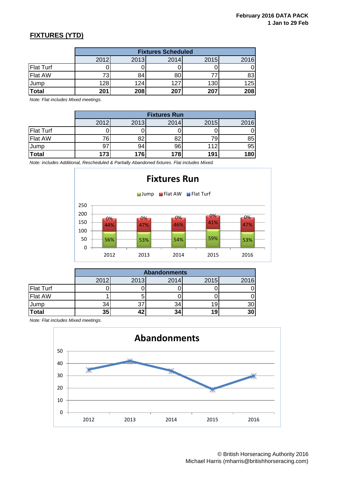## **FIXTURES (YTD)**

|                  | <b>Fixtures Scheduled</b> |      |      |      |      |  |  |
|------------------|---------------------------|------|------|------|------|--|--|
|                  | 2012                      | 2013 | 2014 | 2015 | 2016 |  |  |
| <b>Flat Turf</b> |                           |      |      |      |      |  |  |
| <b>Flat AW</b>   |                           | 84   | 80   |      | 83   |  |  |
| Jump             | 128                       | 124  | 127  | 130  | 125  |  |  |
| <b>Total</b>     | 201                       | 208  | 207  | 207  | 208  |  |  |

*Note: Flat includes Mixed meetings.*

|                  | <b>Fixtures Run</b> |          |          |      |      |  |  |  |
|------------------|---------------------|----------|----------|------|------|--|--|--|
|                  | 2012                | 2013     | 2014     | 2015 | 2016 |  |  |  |
| <b>Flat Turf</b> |                     |          |          |      |      |  |  |  |
| <b>Flat AW</b>   |                     | ററ<br>oΖ | οc<br>oΖ |      | 85   |  |  |  |
| Jump             |                     | 94       | 96       | 112  | 95   |  |  |  |
| Total            | 173                 | 176      | 178      | 191  | 180  |  |  |  |

*Note: includes Additional, Rescheduled & Partially Abandoned fixtures. Flat includes Mixed.*



|                  | <b>Abandonments</b> |      |      |      |      |  |  |  |
|------------------|---------------------|------|------|------|------|--|--|--|
|                  | 2012                | 2013 | 2014 | 2015 | 2016 |  |  |  |
| <b>Flat Turf</b> |                     |      |      |      |      |  |  |  |
| <b>Flat AW</b>   |                     |      |      |      |      |  |  |  |
| Jump             | 34                  | 37   | 34   |      | 30   |  |  |  |
| Total            | 35                  | A C  | 34   | 19   | 30   |  |  |  |

*Note: Flat includes Mixed meetings.*

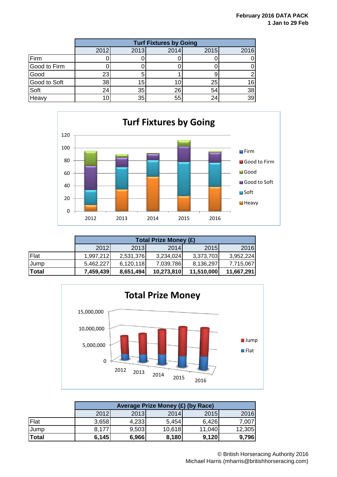|              | <b>Turf Fixtures by Going</b> |      |      |      |      |  |  |
|--------------|-------------------------------|------|------|------|------|--|--|
|              | 2012                          | 2013 | 2014 | 2015 | 2016 |  |  |
| Firm         |                               |      |      |      |      |  |  |
| Good to Firm |                               |      |      |      |      |  |  |
| Good         | 23                            |      |      |      | 2    |  |  |
| Good to Soft | 38                            | 15   |      | 25   | 16   |  |  |
| Soft         | 24                            | 35   | 26   | 54   | 38   |  |  |
| Heavy        |                               | 35   | 55   |      | 39   |  |  |



|             | <b>Total Prize Money (£)</b> |           |            |            |            |  |  |  |
|-------------|------------------------------|-----------|------------|------------|------------|--|--|--|
|             | <b>2012</b>                  | 2013      | 2014       | 2015       | 2016       |  |  |  |
| Flat        | 1.997.212                    | 2,531,376 | 3,234,024  | 3,373,703  | 3,952,224  |  |  |  |
| <b>Jump</b> | 5.462.227                    | 6,120,118 | 7,039,786  | 8,136,297  | 7,715,067  |  |  |  |
| Total       | 7,459,439                    | 8,651,494 | 10,273,810 | 11,510,000 | 11,667,291 |  |  |  |



|             | Average Prize Money (£) (by Race) |       |        |        |        |  |  |
|-------------|-----------------------------------|-------|--------|--------|--------|--|--|
|             | 2012                              | 2013  | 2014   | 2015   | 2016   |  |  |
| <b>Flat</b> | 3,658                             | 4,233 | 5,454  | 6,426  | 7,007  |  |  |
| <b>Jump</b> | 8,177                             | 9,503 | 10,618 | 11,040 | 12,305 |  |  |
| Total       | 6,145                             | 6,966 | 8,180  | 9,120  | 9,796  |  |  |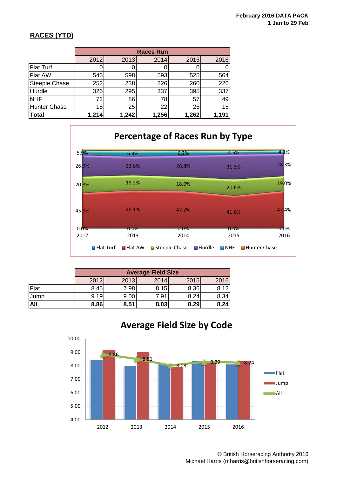## **RACES (YTD)**

|                      | <b>Races Run</b> |       |       |       |       |  |  |
|----------------------|------------------|-------|-------|-------|-------|--|--|
|                      | 2012             | 2013  | 2014  | 2015  | 2016  |  |  |
| <b>Flat Turf</b>     |                  |       |       |       |       |  |  |
| <b>Flat AW</b>       | 546              | 598   | 593   | 525   | 564   |  |  |
| <b>Steeple Chase</b> | 252              | 238   | 226   | 260   | 226   |  |  |
| Hurdle               | 326              | 295   | 337   | 395   | 337   |  |  |
| <b>NHF</b>           | 72               | 86    | 78    | 57    | 49    |  |  |
| Hunter Chase         | 18               | 25    | 22    | 25    | 15    |  |  |
| Total                | 1,214            | 1,242 | 1,256 | 1,262 | 1,191 |  |  |



|            | <b>Average Field Size</b> |      |      |      |      |  |  |
|------------|---------------------------|------|------|------|------|--|--|
|            | 2012                      | 2013 | 2014 | 2015 | 2016 |  |  |
| Flat       | 8.45                      | 7.98 | 8.15 | 8.36 | 8.12 |  |  |
| l Jump     | 9.19                      | 9.00 | 7.91 | 8.24 | 8.34 |  |  |
| <b>All</b> | 8.86                      | 8.51 | 8.03 | 8.29 | 8.24 |  |  |



© British Horseracing Authority 2016 Michael Harris (mharris@britishhorseracing.com)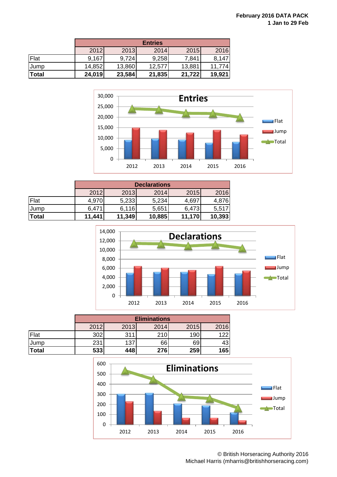|              | <b>Entries</b> |        |        |        |        |  |
|--------------|----------------|--------|--------|--------|--------|--|
|              | 2012           | 2013   | 2014   | 2015   | 2016   |  |
| Flat         | 9,167          | 9,724  | 9,258  | 7,841  | 8,147  |  |
| Jump         | 14,852         | 13,860 | 12,577 | 13,881 | 11.774 |  |
| <b>Total</b> | 24,019         | 23,584 | 21,835 | 21,722 | 19,921 |  |



|       | <b>Declarations</b> |        |        |        |        |  |  |
|-------|---------------------|--------|--------|--------|--------|--|--|
|       | 2012                | 2013   | 2014   | 2015   | 2016   |  |  |
| Flat  | 4,970               | 5,233  | 5,234  | 4,697  | 4,876  |  |  |
| Jump  | 6,471               | 6.116  | 5,651  | 6,473  | 5,517  |  |  |
| Total | 11,441              | 11,349 | 10,885 | 11,170 | 10,393 |  |  |



|              |      | <b>Eliminations</b> |      |      |      |  |  |  |
|--------------|------|---------------------|------|------|------|--|--|--|
|              | 2012 | 2013                | 2014 | 2015 | 2016 |  |  |  |
| Flat         | 302  | 311                 | 210  | 190  | 122  |  |  |  |
| Jump         | 231  | 137                 | 66   | 69   | 43   |  |  |  |
| <b>Total</b> | 533  | 448                 | 276  | 259  | 165  |  |  |  |



© British Horseracing Authority 2016 Michael Harris (mharris@britishhorseracing.com)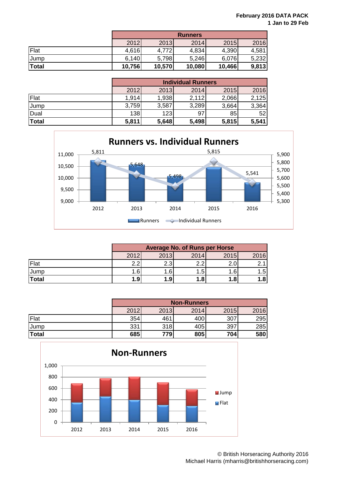|              | <b>Runners</b> |        |        |        |       |  |  |
|--------------|----------------|--------|--------|--------|-------|--|--|
|              | 2012           | 2013   | 2014   | 2015   | 2016  |  |  |
| Flat         | 4,616          | 4,772  | 4,834  | 4,390  | 4,581 |  |  |
| <b>Jump</b>  | 6,140          | 5,798  | 5,246  | 6,076  | 5,232 |  |  |
| <b>Total</b> | 10,756         | 10,570 | 10,080 | 10,466 | 9,813 |  |  |

|             |       | <b>Individual Runners</b> |       |       |       |  |  |  |
|-------------|-------|---------------------------|-------|-------|-------|--|--|--|
|             | 2012  | 2013                      | 2014  | 2015  | 2016  |  |  |  |
| Flat        | 1,914 | 1,938                     | 2,112 | 2,066 | 2,125 |  |  |  |
| <b>Jump</b> | 3,759 | 3,587                     | 3,289 | 3,664 | 3,364 |  |  |  |
| Dual        | 138   | 123                       | 97    | 85    | 52    |  |  |  |
| Total       | 5,811 | 5,648                     | 5,498 | 5,815 | 5,541 |  |  |  |



|             | <b>Average No. of Runs per Horse</b> |      |      |      |      |  |  |
|-------------|--------------------------------------|------|------|------|------|--|--|
|             | 2012                                 | 2013 | 2014 | 2015 | 2016 |  |  |
| Flat        | റ റ                                  | 2.3  | າ າ  |      |      |  |  |
| <b>Jump</b> | .6 <sup>1</sup>                      | .6   | 1.5  | .6   | . 5' |  |  |
| Total       | 1.9                                  | 1.9  | 1.8  | 1.8  | 1.8  |  |  |

|              | <b>Non-Runners</b> |      |      |      |      |  |
|--------------|--------------------|------|------|------|------|--|
|              | 2012               | 2013 | 2014 | 2015 | 2016 |  |
| Flat         | 354                | 461  | 400  | 307  | 295  |  |
| <b>IJump</b> | 331                | 318  | 405  | 397  | 285  |  |
| Total        | 685                | 779  | 805  | 704  | 580  |  |

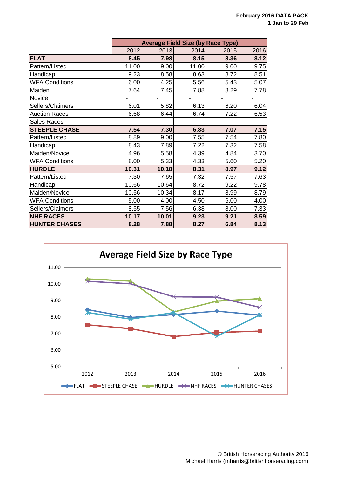|                       | <b>Average Field Size (by Race Type)</b> |       |       |      |      |  |
|-----------------------|------------------------------------------|-------|-------|------|------|--|
|                       | 2012                                     | 2013  | 2014  | 2015 | 2016 |  |
| <b>FLAT</b>           | 8.45                                     | 7.98  | 8.15  | 8.36 | 8.12 |  |
| Pattern/Listed        | 11.00                                    | 9.00  | 11.00 | 9.00 | 9.75 |  |
| Handicap              | 9.23                                     | 8.58  | 8.63  | 8.72 | 8.51 |  |
| <b>WFA Conditions</b> | 6.00                                     | 4.25  | 5.56  | 5.43 | 5.07 |  |
| Maiden                | 7.64                                     | 7.45  | 7.88  | 8.29 | 7.78 |  |
| Novice                |                                          |       |       |      |      |  |
| Sellers/Claimers      | 6.01                                     | 5.82  | 6.13  | 6.20 | 6.04 |  |
| <b>Auction Races</b>  | 6.68                                     | 6.44  | 6.74  | 7.22 | 6.53 |  |
| Sales Races           |                                          |       |       |      |      |  |
| <b>STEEPLE CHASE</b>  | 7.54                                     | 7.30  | 6.83  | 7.07 | 7.15 |  |
| Pattern/Listed        | 8.89                                     | 9.00  | 7.55  | 7.54 | 7.80 |  |
| Handicap              | 8.43                                     | 7.89  | 7.22  | 7.32 | 7.58 |  |
| Maiden/Novice         | 4.96                                     | 5.58  | 4.39  | 4.84 | 3.70 |  |
| <b>WFA Conditions</b> | 8.00                                     | 5.33  | 4.33  | 5.60 | 5.20 |  |
| <b>HURDLE</b>         | 10.31                                    | 10.18 | 8.31  | 8.97 | 9.12 |  |
| Pattern/Listed        | 7.30                                     | 7.65  | 7.32  | 7.57 | 7.63 |  |
| Handicap              | 10.66                                    | 10.64 | 8.72  | 9.22 | 9.78 |  |
| Maiden/Novice         | 10.56                                    | 10.34 | 8.17  | 8.99 | 8.79 |  |
| <b>WFA Conditions</b> | 5.00                                     | 4.00  | 4.50  | 6.00 | 4.00 |  |
| Sellers/Claimers      | 8.55                                     | 7.56  | 6.38  | 8.00 | 7.33 |  |
| <b>NHF RACES</b>      | 10.17                                    | 10.01 | 9.23  | 9.21 | 8.59 |  |
| <b>HUNTER CHASES</b>  | 8.28                                     | 7.88  | 8.27  | 6.84 | 8.13 |  |

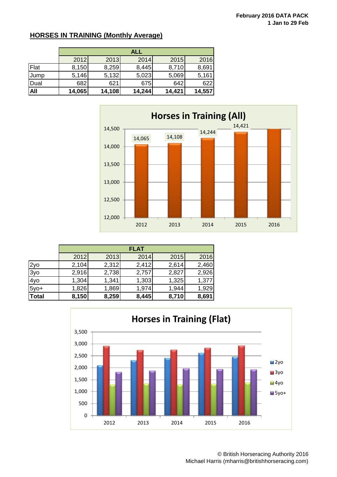#### **HORSES IN TRAINING (Monthly Average)**

|      | <b>ALL</b> |        |        |        |        |  |  |
|------|------------|--------|--------|--------|--------|--|--|
|      | 2012       | 2013   | 2014   | 2015   | 2016   |  |  |
| Flat | 8,150      | 8,259  | 8,445  | 8,710  | 8,691  |  |  |
| Jump | 5,146      | 5,132  | 5,023  | 5,069  | 5,161  |  |  |
| Dual | 682        | 621    | 675    | 642    | 622    |  |  |
| All  | 14,065     | 14,108 | 14,244 | 14,421 | 14,557 |  |  |



|        | <b>FLAT</b> |       |       |       |       |  |  |
|--------|-------------|-------|-------|-------|-------|--|--|
|        | 2012        | 2013  | 2014  | 2015  | 2016  |  |  |
| 2yo    | 2,104       | 2,312 | 2,412 | 2,614 | 2,460 |  |  |
| 3yo    | 2,916       | 2,738 | 2,757 | 2,827 | 2,926 |  |  |
| 4yo    | 1,304       | 1,341 | 1,303 | 1,325 | 1,377 |  |  |
| $5y0+$ | 1,826       | 1,869 | 1,974 | 1,944 | 1,929 |  |  |
| Total  | 8,150       | 8,259 | 8,445 | 8,710 | 8,691 |  |  |



© British Horseracing Authority 2016 Michael Harris (mharris@britishhorseracing.com)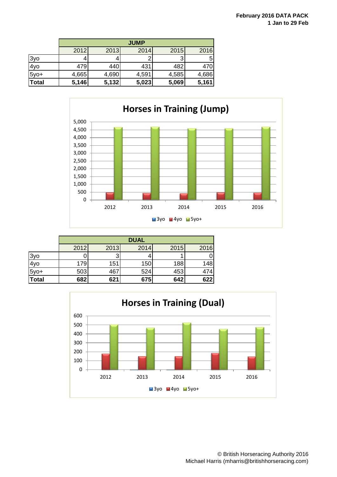|              | <b>JUMP</b> |       |       |       |             |  |  |
|--------------|-------------|-------|-------|-------|-------------|--|--|
|              | 2012        | 2013  | 2014  | 2015  | 2016        |  |  |
| 3yo          |             | 4     |       |       | $5^{\circ}$ |  |  |
| 4yo          | 479         | 440   | 431   | 482   | 470         |  |  |
| $5y0+$       | 4,665       | 4,690 | 4,591 | 4,585 | 4,686       |  |  |
| <b>Total</b> | 5,146       | 5,132 | 5,023 | 5,069 | 5,161       |  |  |



|              | <b>DUAL</b> |      |      |      |      |  |  |  |
|--------------|-------------|------|------|------|------|--|--|--|
|              | 2012        | 2013 | 2014 | 2015 | 2016 |  |  |  |
| 3yo          |             |      |      |      |      |  |  |  |
| 4yo          | 179         | 151  | 150  | 188  | 148  |  |  |  |
| $5y0+$       | 503         | 467  | 524  | 453  | 474  |  |  |  |
| <b>Total</b> | 682         | 621  | 675  | 642  | 622  |  |  |  |

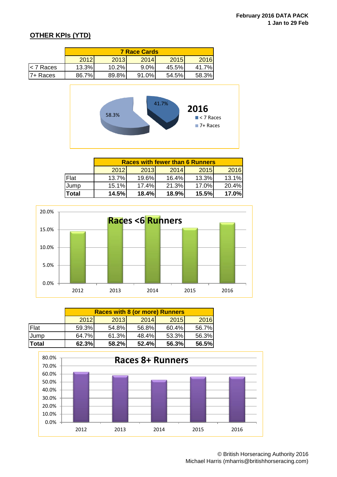### **OTHER KPIs (YTD)**

|            | <b>7 Race Cards</b> |       |         |       |       |  |  |
|------------|---------------------|-------|---------|-------|-------|--|--|
|            | 2012                | 2013  | 2014    | 2015  | 2016  |  |  |
| l< 7 Races | 13.3%               | 10.2% | $9.0\%$ | 45.5% | 41.7% |  |  |
| I7+ Races  | 86.7%               | 89.8% | 91.0%   | 54.5% | 58.3% |  |  |



|       | <b>Races with fewer than 6 Runners</b> |             |       |       |       |  |  |  |
|-------|----------------------------------------|-------------|-------|-------|-------|--|--|--|
|       | 2012                                   | <b>2013</b> | 2014  | 2015  | 2016  |  |  |  |
| Flat  | 13.7%                                  | 19.6%       | 16.4% | 13.3% | 13.1% |  |  |  |
| Jump  | 15.1%                                  | 17.4%       | 21.3% | 17.0% | 20.4% |  |  |  |
| Total | 14.5%                                  | 18.4%       | 18.9% | 15.5% | 17.0% |  |  |  |



|              | <b>Races with 8 (or more) Runners</b> |       |       |       |       |  |  |
|--------------|---------------------------------------|-------|-------|-------|-------|--|--|
|              | 2012                                  | 2013  | 2014  | 2015  | 2016  |  |  |
| Flat         | 59.3%                                 | 54.8% | 56.8% | 60.4% | 56.7% |  |  |
| <b>Jump</b>  | 64.7%                                 | 61.3% | 48.4% | 53.3% | 56.3% |  |  |
| <b>Total</b> | 62.3%                                 | 58.2% | 52.4% | 56.3% | 56.5% |  |  |